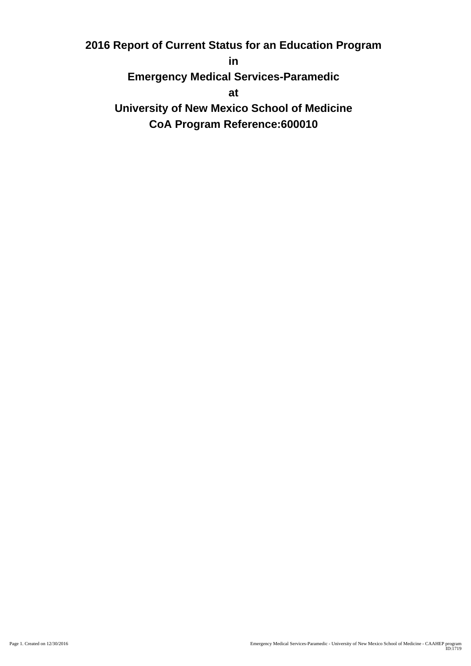**2016 Report of Current Status for an Education Program**

**in**

**Emergency Medical Services-Paramedic**

**at**

**University of New Mexico School of Medicine CoA Program Reference:600010**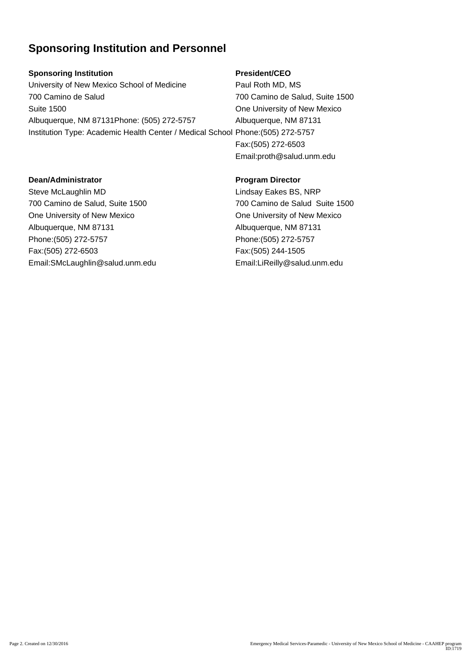## **Sponsoring Institution and Personnel**

### **Sponsoring Institution**

University of New Mexico School of Medicine 700 Camino de Salud Suite 1500 Albuquerque, NM 87131Phone: (505) 272-5757 Institution Type: Academic Health Center / Medical School Phone:(505) 272-5757

### **President/CEO**

Paul Roth MD, MS 700 Camino de Salud, Suite 1500 One University of New Mexico Albuquerque, NM 87131 Fax:(505) 272-6503 Email:proth@salud.unm.edu

#### **Dean/Administrator**

Steve McLaughlin MD 700 Camino de Salud, Suite 1500 One University of New Mexico Albuquerque, NM 87131 Phone:(505) 272-5757 Fax:(505) 272-6503 Email:SMcLaughlin@salud.unm.edu

### **Program Director**

Lindsay Eakes BS, NRP 700 Camino de Salud Suite 1500 One University of New Mexico Albuquerque, NM 87131 Phone:(505) 272-5757 Fax:(505) 244-1505 Email:LiReilly@salud.unm.edu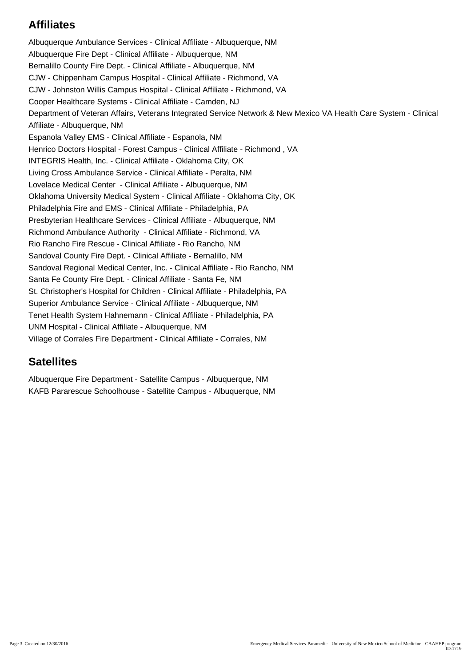# **Affiliates**

Albuquerque Ambulance Services - Clinical Affiliate - Albuquerque, NM Albuquerque Fire Dept - Clinical Affiliate - Albuquerque, NM Bernalillo County Fire Dept. - Clinical Affiliate - Albuquerque, NM CJW - Chippenham Campus Hospital - Clinical Affiliate - Richmond, VA CJW - Johnston Willis Campus Hospital - Clinical Affiliate - Richmond, VA Cooper Healthcare Systems - Clinical Affiliate - Camden, NJ Department of Veteran Affairs, Veterans Integrated Service Network & New Mexico VA Health Care System - Clinical Affiliate - Albuquerque, NM Espanola Valley EMS - Clinical Affiliate - Espanola, NM Henrico Doctors Hospital - Forest Campus - Clinical Affiliate - Richmond , VA INTEGRIS Health, Inc. - Clinical Affiliate - Oklahoma City, OK Living Cross Ambulance Service - Clinical Affiliate - Peralta, NM Lovelace Medical Center - Clinical Affiliate - Albuquerque, NM Oklahoma University Medical System - Clinical Affiliate - Oklahoma City, OK Philadelphia Fire and EMS - Clinical Affiliate - Philadelphia, PA Presbyterian Healthcare Services - Clinical Affiliate - Albuquerque, NM Richmond Ambulance Authority - Clinical Affiliate - Richmond, VA Rio Rancho Fire Rescue - Clinical Affiliate - Rio Rancho, NM Sandoval County Fire Dept. - Clinical Affiliate - Bernalillo, NM Sandoval Regional Medical Center, Inc. - Clinical Affiliate - Rio Rancho, NM Santa Fe County Fire Dept. - Clinical Affiliate - Santa Fe, NM St. Christopher's Hospital for Children - Clinical Affiliate - Philadelphia, PA Superior Ambulance Service - Clinical Affiliate - Albuquerque, NM Tenet Health System Hahnemann - Clinical Affiliate - Philadelphia, PA UNM Hospital - Clinical Affiliate - Albuquerque, NM Village of Corrales Fire Department - Clinical Affiliate - Corrales, NM

## **Satellites**

Albuquerque Fire Department - Satellite Campus - Albuquerque, NM KAFB Pararescue Schoolhouse - Satellite Campus - Albuquerque, NM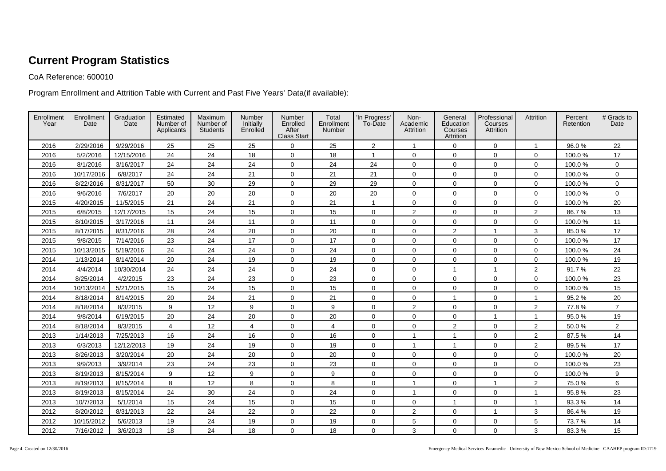# **Current Program Statistics**

CoA Reference: 600010

Program Enrollment and Attrition Table with Current and Past Five Years' Data(if available):

| Enrollment<br>Year | Enrollment<br>Date | Graduation<br>Date | Estimated<br>Number of<br>Applicants | Maximum<br>Number of<br><b>Students</b> | Number<br>Initially<br>Enrolled | Number<br>Enrolled<br>After<br><b>Class Start</b> | Total<br>Enrollment<br>Number | 'In Progress'<br>To-Date | Non-<br>Academic<br>Attrition | General<br>Education<br>Courses<br>Attrition | Professional<br>Courses<br>Attrition | Attrition      | Percent<br>Retention | # Grads to<br>Date |
|--------------------|--------------------|--------------------|--------------------------------------|-----------------------------------------|---------------------------------|---------------------------------------------------|-------------------------------|--------------------------|-------------------------------|----------------------------------------------|--------------------------------------|----------------|----------------------|--------------------|
| 2016               | 2/29/2016          | 9/29/2016          | 25                                   | 25                                      | 25                              | $\mathbf 0$                                       | 25                            | $\overline{a}$           | $\overline{1}$                | $\mathbf 0$                                  | $\mathbf 0$                          | $\mathbf{1}$   | 96.0%                | 22                 |
| 2016               | 5/2/2016           | 12/15/2016         | 24                                   | 24                                      | 18                              | $\mathbf 0$                                       | 18                            | $\mathbf 1$              | $\mathbf 0$                   | $\mathbf 0$                                  | $\mathbf 0$                          | $\mathbf 0$    | 100.0%               | 17                 |
| 2016               | 8/1/2016           | 3/16/2017          | 24                                   | 24                                      | 24                              | $\mathbf 0$                                       | 24                            | 24                       | $\mathbf 0$                   | $\mathbf 0$                                  | $\mathbf 0$                          | $\mathbf 0$    | 100.0%               | 0                  |
| 2016               | 10/17/2016         | 6/8/2017           | 24                                   | 24                                      | 21                              | $\mathbf 0$                                       | 21                            | 21                       | $\mathbf 0$                   | $\mathbf 0$                                  | $\mathbf 0$                          | $\mathbf 0$    | 100.0%               | $\mathbf 0$        |
| 2016               | 8/22/2016          | 8/31/2017          | 50                                   | 30                                      | 29                              | $\mathbf 0$                                       | 29                            | 29                       | $\mathbf 0$                   | $\mathbf 0$                                  | $\mathbf 0$                          | $\mathbf 0$    | 100.0%               | 0                  |
| 2016               | 9/6/2016           | 7/6/2017           | 20                                   | 20                                      | 20                              | $\mathbf 0$                                       | 20                            | 20                       | $\mathbf 0$                   | $\mathbf 0$                                  | $\mathbf 0$                          | $\mathbf 0$    | 100.0%               | 0                  |
| 2015               | 4/20/2015          | 11/5/2015          | 21                                   | 24                                      | 21                              | $\mathbf 0$                                       | 21                            | $\overline{1}$           | $\mathbf 0$                   | $\mathbf 0$                                  | $\mathbf 0$                          | $\mathbf 0$    | 100.0%               | 20                 |
| 2015               | 6/8/2015           | 12/17/2015         | 15                                   | 24                                      | 15                              | $\mathbf 0$                                       | 15                            | $\mathbf 0$              | 2                             | $\mathbf 0$                                  | $\mathbf 0$                          | $\overline{2}$ | 86.7%                | 13                 |
| 2015               | 8/10/2015          | 3/17/2016          | 11                                   | 24                                      | 11                              | $\mathbf 0$                                       | 11                            | 0                        | $\mathbf 0$                   | $\mathbf 0$                                  | $\mathbf 0$                          | $\mathbf 0$    | 100.0%               | 11                 |
| 2015               | 8/17/2015          | 8/31/2016          | 28                                   | 24                                      | 20                              | $\mathbf 0$                                       | 20                            | $\mathbf 0$              | $\mathbf 0$                   | $\overline{2}$                               | $\overline{1}$                       | 3              | 85.0%                | 17                 |
| 2015               | 9/8/2015           | 7/14/2016          | 23                                   | 24                                      | 17                              | $\mathbf 0$                                       | 17                            | $\mathbf 0$              | $\mathbf 0$                   | $\mathbf 0$                                  | $\mathbf 0$                          | $\mathbf 0$    | 100.0%               | 17                 |
| 2015               | 10/13/2015         | 5/19/2016          | 24                                   | 24                                      | 24                              | $\mathbf 0$                                       | 24                            | 0                        | $\mathbf 0$                   | $\mathbf 0$                                  | $\mathbf 0$                          | $\mathbf 0$    | 100.0%               | 24                 |
| 2014               | 1/13/2014          | 8/14/2014          | 20                                   | 24                                      | 19                              | $\mathbf 0$                                       | 19                            | $\mathbf 0$              | $\mathbf 0$                   | $\mathbf 0$                                  | $\mathbf 0$                          | $\mathbf 0$    | 100.0%               | 19                 |
| 2014               | 4/4/2014           | 10/30/2014         | 24                                   | 24                                      | 24                              | $\mathbf 0$                                       | 24                            | $\mathbf 0$              | $\mathbf 0$                   | $\mathbf{1}$                                 | $\mathbf{1}$                         | $\overline{2}$ | 91.7%                | 22                 |
| 2014               | 8/25/2014          | 4/2/2015           | 23                                   | 24                                      | 23                              | $\mathbf 0$                                       | 23                            | $\mathbf 0$              | $\mathbf 0$                   | $\mathbf 0$                                  | $\mathbf 0$                          | $\mathbf 0$    | 100.0%               | 23                 |
| 2014               | 10/13/2014         | 5/21/2015          | 15                                   | 24                                      | 15                              | $\mathbf 0$                                       | 15                            | $\mathbf 0$              | $\mathbf 0$                   | $\mathbf 0$                                  | $\mathbf 0$                          | $\mathbf 0$    | 100.0%               | 15                 |
| 2014               | 8/18/2014          | 8/14/2015          | 20                                   | 24                                      | 21                              | $\mathbf 0$                                       | 21                            | $\mathbf 0$              | $\mathbf 0$                   | $\overline{1}$                               | $\mathbf 0$                          | $\overline{1}$ | 95.2%                | 20                 |
| 2014               | 8/18/2014          | 8/3/2015           | 9                                    | 12                                      | 9                               | $\mathbf 0$                                       | 9                             | $\mathbf 0$              | 2                             | $\mathbf 0$                                  | $\mathbf 0$                          | 2              | 77.8%                | $\overline{7}$     |
| 2014               | 9/8/2014           | 6/19/2015          | 20                                   | 24                                      | 20                              | $\mathbf 0$                                       | 20                            | $\mathbf 0$              | $\mathbf 0$                   | $\mathbf 0$                                  | $\mathbf{1}$                         | $\mathbf{1}$   | 95.0%                | 19                 |
| 2014               | 8/18/2014          | 8/3/2015           | $\overline{4}$                       | 12                                      | 4                               | $\mathbf 0$                                       | 4                             | $\mathbf 0$              | $\mathbf 0$                   | 2                                            | $\mathbf 0$                          | $\overline{2}$ | 50.0%                | $\overline{2}$     |
| 2013               | 1/14/2013          | 7/25/2013          | 16                                   | 24                                      | 16                              | $\mathbf 0$                                       | 16                            | $\mathbf 0$              | 1                             | $\overline{1}$                               | $\mathbf 0$                          | $\overline{2}$ | 87.5%                | 14                 |
| 2013               | 6/3/2013           | 12/12/2013         | 19                                   | 24                                      | 19                              | $\mathbf 0$                                       | 19                            | 0                        | $\overline{1}$                | $\overline{1}$                               | $\mathbf 0$                          | $\overline{2}$ | 89.5%                | 17                 |
| 2013               | 8/26/2013          | 3/20/2014          | 20                                   | 24                                      | 20                              | $\mathbf 0$                                       | 20                            | 0                        | $\mathbf 0$                   | $\mathbf 0$                                  | $\mathbf 0$                          | $\mathbf 0$    | 100.0%               | 20                 |
| 2013               | 9/9/2013           | 3/9/2014           | 23                                   | 24                                      | 23                              | $\mathbf 0$                                       | 23                            | $\mathbf 0$              | $\mathbf 0$                   | $\mathbf 0$                                  | $\mathbf{0}$                         | $\mathbf 0$    | 100.0%               | 23                 |
| 2013               | 8/19/2013          | 8/15/2014          | 9                                    | 12                                      | 9                               | $\mathbf 0$                                       | 9                             | 0                        | $\mathbf 0$                   | $\mathbf 0$                                  | $\mathbf 0$                          | $\mathbf 0$    | 100.0%               | 9                  |
| 2013               | 8/19/2013          | 8/15/2014          | 8                                    | 12                                      | 8                               | $\mathbf 0$                                       | 8                             | $\mathbf 0$              | 1                             | $\mathsf 0$                                  | $\mathbf{1}$                         | $\mathbf{2}$   | 75.0%                | 6                  |
| 2013               | 8/19/2013          | 8/15/2014          | 24                                   | 30                                      | 24                              | $\mathbf 0$                                       | 24                            | $\mathbf 0$              | 1                             | $\mathbf 0$                                  | $\mathbf 0$                          | $\mathbf{1}$   | 95.8%                | 23                 |
| 2013               | 10/7/2013          | 5/1/2014           | 15                                   | 24                                      | 15                              | $\mathbf 0$                                       | 15                            | 0                        | $\mathbf 0$                   | $\mathbf{1}$                                 | $\mathsf{O}\xspace$                  | $\mathbf{1}$   | 93.3%                | 14                 |
| 2012               | 8/20/2012          | 8/31/2013          | 22                                   | 24                                      | 22                              | $\mathbf 0$                                       | 22                            | 0                        | $\overline{2}$                | $\mathbf 0$                                  | $\mathbf{1}$                         | 3              | 86.4%                | 19                 |
| 2012               | 10/15/2012         | 5/6/2013           | 19                                   | 24                                      | 19                              | 0                                                 | 19                            | 0                        | 5                             | $\mathbf 0$                                  | $\mathbf 0$                          | 5              | 73.7%                | 14                 |
| 2012               | 7/16/2012          | 3/6/2013           | 18                                   | 24                                      | 18                              | 0                                                 | 18                            | 0                        | 3                             | $\mathbf{0}$                                 | $\mathbf{0}$                         | 3              | 83.3%                | 15                 |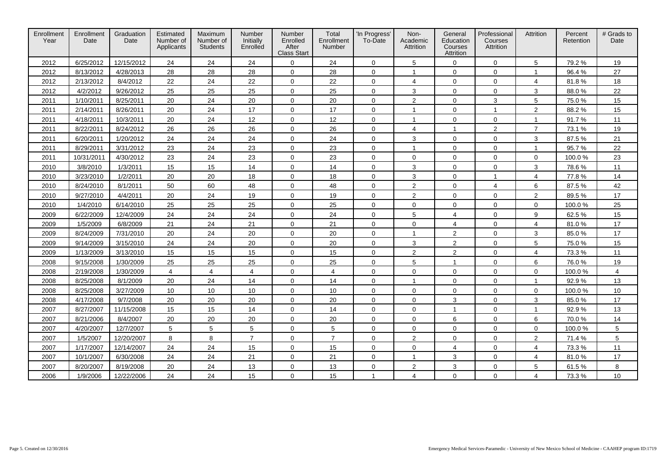| Enrollment<br>Year | Enrollment<br>Date | Graduation<br>Date | Estimated<br>Number of<br>Applicants | Maximum<br>Number of<br><b>Students</b> | Number<br>Initially<br>Enrolled | Number<br>Enrolled<br>After<br><b>Class Start</b> | Total<br>Enrollment<br>Number | 'In Progress'<br>To-Date | Non-<br>Academic<br>Attrition | General<br>Education<br>Courses<br>Attrition | Professional<br>Courses<br>Attrition | Attrition        | Percent<br>Retention | # Grads to<br>Date |
|--------------------|--------------------|--------------------|--------------------------------------|-----------------------------------------|---------------------------------|---------------------------------------------------|-------------------------------|--------------------------|-------------------------------|----------------------------------------------|--------------------------------------|------------------|----------------------|--------------------|
| 2012               | 6/25/2012          | 12/15/2012         | 24                                   | 24                                      | 24                              | 0                                                 | 24                            | $\mathbf 0$              | 5                             | 0                                            | $\mathbf 0$                          | 5                | 79.2%                | 19                 |
| 2012               | 8/13/2012          | 4/28/2013          | 28                                   | 28                                      | 28                              | $\mathbf 0$                                       | 28                            | $\mathbf 0$              | $\mathbf{1}$                  | $\mathbf 0$                                  | $\mathbf 0$                          | $\mathbf{1}$     | 96.4%                | 27                 |
| 2012               | 2/13/2012          | 8/4/2012           | 22                                   | 24                                      | 22                              | $\mathbf 0$                                       | 22                            | $\mathbf 0$              | 4                             | $\mathbf 0$                                  | $\mathbf 0$                          | 4                | 81.8%                | 18                 |
| 2012               | 4/2/2012           | 9/26/2012          | 25                                   | 25                                      | 25                              | $\mathbf 0$                                       | 25                            | $\mathbf 0$              | 3                             | $\mathbf 0$                                  | $\mathbf 0$                          | 3                | 88.0%                | 22                 |
| 2011               | 1/10/2011          | 8/25/2011          | 20                                   | 24                                      | 20                              | $\mathbf 0$                                       | 20                            | $\mathbf 0$              | 2                             | $\mathbf 0$                                  | 3                                    | 5                | 75.0%                | 15                 |
| 2011               | 2/14/2011          | 8/26/2011          | 20                                   | 24                                      | 17                              | $\mathbf 0$                                       | 17                            | $\mathbf 0$              | $\mathbf{1}$                  | $\mathbf 0$                                  | 1                                    | $\boldsymbol{2}$ | 88.2%                | 15                 |
| 2011               | 4/18/2011          | 10/3/2011          | 20                                   | 24                                      | 12                              | $\mathbf 0$                                       | 12                            | $\mathbf 0$              | $\mathbf{1}$                  | $\mathbf 0$                                  | $\mathbf 0$                          | $\mathbf{1}$     | 91.7%                | 11                 |
| 2011               | 8/22/2011          | 8/24/2012          | 26                                   | 26                                      | 26                              | $\mathbf 0$                                       | 26                            | $\mathbf 0$              | 4                             | $\mathbf{1}$                                 | $\sqrt{2}$                           | $\overline{7}$   | 73.1%                | 19                 |
| 2011               | 6/20/2011          | 1/20/2012          | 24                                   | 24                                      | 24                              | $\mathbf 0$                                       | 24                            | $\mathbf 0$              | 3                             | $\mathbf 0$                                  | $\mathbf 0$                          | 3                | 87.5%                | 21                 |
| 2011               | 8/29/2011          | 3/31/2012          | 23                                   | 24                                      | 23                              | $\mathbf 0$                                       | 23                            | $\mathbf 0$              | $\mathbf{1}$                  | $\mathbf 0$                                  | $\mathbf 0$                          | $\mathbf{1}$     | 95.7%                | 22                 |
| 2011               | 10/31/2011         | 4/30/2012          | 23                                   | 24                                      | 23                              | $\mathbf 0$                                       | 23                            | $\mathbf 0$              | $\mathbf 0$                   | $\mathbf 0$                                  | $\mathbf 0$                          | $\mathbf 0$      | 100.0%               | 23                 |
| 2010               | 3/8/2010           | 1/3/2011           | 15                                   | 15                                      | 14                              | $\mathbf 0$                                       | 14                            | $\mathbf 0$              | 3                             | $\mathbf 0$                                  | $\mathbf 0$                          | 3                | 78.6%                | 11                 |
| 2010               | 3/23/2010          | 1/2/2011           | 20                                   | 20                                      | 18                              | $\mathbf 0$                                       | 18                            | $\mathbf 0$              | 3                             | $\mathbf 0$                                  | $\mathbf{1}$                         | 4                | 77.8%                | 14                 |
| 2010               | 8/24/2010          | 8/1/2011           | 50                                   | 60                                      | 48                              | $\mathbf 0$                                       | 48                            | $\mathbf 0$              | 2                             | $\mathbf 0$                                  | 4                                    | 6                | 87.5%                | 42                 |
| 2010               | 9/27/2010          | 4/4/2011           | 20                                   | 24                                      | 19                              | $\mathbf 0$                                       | 19                            | $\mathbf 0$              | $\overline{c}$                | $\mathbf 0$                                  | $\mathbf 0$                          | 2                | 89.5%                | 17                 |
| 2010               | 1/4/2010           | 6/14/2010          | 25                                   | 25                                      | 25                              | $\mathbf 0$                                       | 25                            | $\mathbf 0$              | $\mathbf 0$                   | $\mathbf 0$                                  | $\mathbf 0$                          | $\mathbf 0$      | 100.0%               | 25                 |
| 2009               | 6/22/2009          | 12/4/2009          | 24                                   | 24                                      | 24                              | $\mathbf 0$                                       | 24                            | $\mathbf 0$              | 5                             | $\overline{4}$                               | $\mathbf 0$                          | 9                | 62.5%                | 15                 |
| 2009               | 1/5/2009           | 6/8/2009           | 21                                   | 24                                      | 21                              | $\mathbf 0$                                       | 21                            | $\mathbf 0$              | $\mathbf 0$                   | 4                                            | $\mathbf 0$                          | 4                | 81.0%                | 17                 |
| 2009               | 8/24/2009          | 7/31/2010          | 20                                   | 24                                      | 20                              | $\mathbf 0$                                       | 20                            | $\mathbf 0$              | $\mathbf{1}$                  | $\overline{c}$                               | $\mathbf 0$                          | 3                | 85.0%                | 17                 |
| 2009               | 9/14/2009          | 3/15/2010          | 24                                   | 24                                      | 20                              | $\mathbf 0$                                       | 20                            | $\mathbf 0$              | 3                             | $\overline{c}$                               | $\mathbf 0$                          | 5                | 75.0%                | 15                 |
| 2009               | 1/13/2009          | 3/13/2010          | 15                                   | 15                                      | 15                              | $\mathbf 0$                                       | 15                            | $\mathbf 0$              | 2                             | $\overline{2}$                               | $\mathbf 0$                          | 4                | 73.3%                | 11                 |
| 2008               | 9/15/2008          | 1/30/2009          | 25                                   | 25                                      | 25                              | $\mathbf 0$                                       | 25                            | $\mathbf 0$              | $\overline{5}$                | $\mathbf{1}$                                 | $\mathbf 0$                          | 6                | 76.0%                | 19                 |
| 2008               | 2/19/2008          | 1/30/2009          | 4                                    | $\overline{4}$                          | $\overline{4}$                  | $\mathbf 0$                                       | $\overline{4}$                | $\mathbf 0$              | $\mathbf 0$                   | $\mathbf 0$                                  | $\mathbf 0$                          | $\mathbf 0$      | 100.0%               | $\overline{4}$     |
| 2008               | 8/25/2008          | 8/1/2009           | 20                                   | 24                                      | 14                              | $\mathbf 0$                                       | 14                            | $\mathbf 0$              | $\mathbf{1}$                  | $\mathbf 0$                                  | $\mathbf 0$                          | $\mathbf{1}$     | 92.9%                | 13                 |
| 2008               | 8/25/2008          | 3/27/2009          | 10                                   | 10                                      | 10                              | $\mathbf 0$                                       | 10                            | $\mathbf 0$              | $\mathbf 0$                   | $\mathbf 0$                                  | $\mathbf 0$                          | $\mathbf 0$      | 100.0%               | 10                 |
| 2008               | 4/17/2008          | 9/7/2008           | 20                                   | 20                                      | 20                              | $\mathbf 0$                                       | 20                            | $\mathbf 0$              | $\mathbf 0$                   | 3                                            | $\mathbf 0$                          | $\mathbf{3}$     | 85.0%                | 17                 |
| 2007               | 8/27/2007          | 11/15/2008         | 15                                   | 15                                      | 14                              | $\mathbf 0$                                       | 14                            | $\mathbf 0$              | $\mathbf 0$                   | $\mathbf{1}$                                 | $\mathbf 0$                          | $\mathbf{1}$     | 92.9%                | 13                 |
| 2007               | 8/21/2006          | 8/4/2007           | 20                                   | 20                                      | 20                              | $\mathbf{0}$                                      | 20                            | $\mathbf 0$              | $\mathbf 0$                   | 6                                            | $\mathbf 0$                          | 6                | 70.0%                | 14                 |
| 2007               | 4/20/2007          | 12/7/2007          | 5                                    | 5                                       | 5                               | $\mathbf 0$                                       | 5                             | $\mathbf 0$              | $\mathbf 0$                   | $\mathbf 0$                                  | $\mathbf 0$                          | $\mathbf 0$      | 100.0%               | 5                  |
| 2007               | 1/5/2007           | 12/20/2007         | 8                                    | 8                                       | $\overline{7}$                  | $\mathbf 0$                                       | $\overline{7}$                | $\mathbf 0$              | 2                             | $\mathbf 0$                                  | $\mathbf 0$                          | $\overline{2}$   | 71.4%                | 5                  |
| 2007               | 1/17/2007          | 12/14/2007         | 24                                   | 24                                      | 15                              | $\mathbf{0}$                                      | 15                            | $\mathbf 0$              | $\mathbf 0$                   | $\overline{4}$                               | $\mathbf 0$                          | 4                | 73.3%                | 11                 |
| 2007               | 10/1/2007          | 6/30/2008          | 24                                   | 24                                      | 21                              | $\mathbf 0$                                       | 21                            | $\mathbf 0$              | $\mathbf 1$                   | 3                                            | $\mathbf 0$                          | 4                | 81.0%                | 17                 |
| 2007               | 8/20/2007          | 8/19/2008          | 20                                   | 24                                      | 13                              | $\mathsf{O}\xspace$                               | 13                            | $\mathbf 0$              | 2                             | 3                                            | $\mathbf 0$                          | 5                | 61.5%                | 8                  |
| 2006               | 1/9/2006           | 12/22/2006         | 24                                   | 24                                      | 15                              | $\Omega$                                          | 15                            | $\overline{1}$           | $\overline{4}$                | $\mathbf 0$                                  | $\overline{0}$                       | 4                | 73.3%                | 10                 |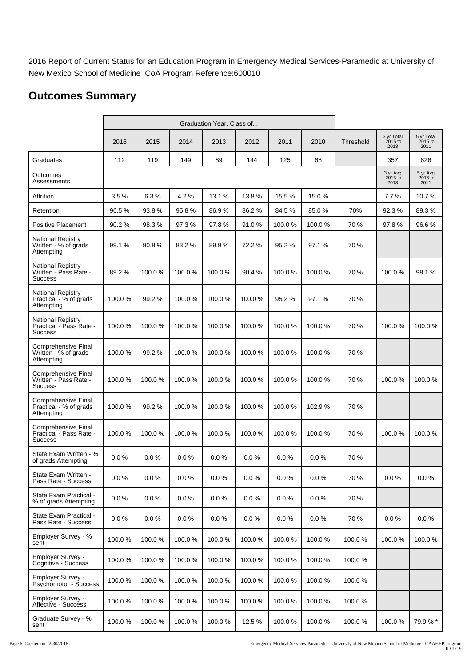2016 Report of Current Status for an Education Program in Emergency Medical Services-Paramedic at University of New Mexico School of Medicine CoA Program Reference:600010

# **Outcomes Summary**

|                                                                  |        |        | Graduation Year. Class of |        |        |          |          |           |                               |                               |
|------------------------------------------------------------------|--------|--------|---------------------------|--------|--------|----------|----------|-----------|-------------------------------|-------------------------------|
|                                                                  | 2016   | 2015   | 2014                      | 2013   | 2012   | 2011     | 2010     | Threshold | 3 yr Total<br>2015 to<br>2013 | 5 yr Total<br>2015 to<br>2011 |
| Graduates                                                        | 112    | 119    | 149                       | 89     | 144    | 125      | 68       |           | 357                           | 626                           |
| Outcomes<br>Assessments                                          |        |        |                           |        |        |          |          |           | 3 yr Avg<br>2015 to<br>2013   | 5 yr Avg<br>2015 to<br>2011   |
| Attrition                                                        | 3.5%   | 6.3%   | 4.2%                      | 13.1%  | 13.8%  | 15.5%    | 15.0%    |           | 7.7%                          | 10.7%                         |
| Retention                                                        | 96.5%  | 93.8%  | 95.8%                     | 86.9%  | 86.2%  | 84.5%    | 85.0%    | 70%       | 92.3%                         | 89.3%                         |
| <b>Positive Placement</b>                                        | 90.2%  | 98.3%  | 97.3%                     | 97.8%  | 91.0%  | 100.0%   | 100.0%   | 70 %      | 97.8%                         | 96.6%                         |
| <b>National Registry</b><br>Written - % of grads<br>Attempting   | 99.1 % | 90.8%  | 83.2 %                    | 89.9%  | 72.2%  | 95.2%    | 97.1 %   | 70 %      |                               |                               |
| National Registry<br>Written - Pass Rate -<br><b>Success</b>     | 89.2%  | 100.0% | 100.0%                    | 100.0% | 90.4%  | 100.0%   | 100.0%   | 70 %      | 100.0%                        | 98.1 %                        |
| <b>National Registry</b><br>Practical - % of grads<br>Attempting | 100.0% | 99.2%  | 100.0%                    | 100.0% | 100.0% | 95.2%    | 97.1 %   | 70 %      |                               |                               |
| National Registry<br>Practical - Pass Rate -<br><b>Success</b>   | 100.0% | 100.0% | 100.0%                    | 100.0% | 100.0% | 100.0%   | 100.0%   | 70 %      | 100.0%                        | 100.0%                        |
| Comprehensive Final<br>Written - % of grads<br>Attempting        | 100.0% | 99.2%  | 100.0%                    | 100.0% | 100.0% | 100.0%   | 100.0%   | 70 %      |                               |                               |
| Comprehensive Final<br>Written - Pass Rate -<br><b>Success</b>   | 100.0% | 100.0% | 100.0%                    | 100.0% | 100.0% | 100.0%   | 100.0%   | 70 %      | 100.0%                        | 100.0%                        |
| Comprehensive Final<br>Practical - % of grads<br>Attempting      | 100.0% | 99.2%  | 100.0%                    | 100.0% | 100.0% | 100.0%   | 102.9%   | 70 %      |                               |                               |
| Comprehensive Final<br>Practical - Pass Rate -<br><b>Success</b> | 100.0% | 100.0% | 100.0%                    | 100.0% | 100.0% | 100.0%   | 100.0%   | 70 %      | 100.0%                        | 100.0%                        |
| State Exam Written - %<br>of grads Attempting                    | 0.0 %  | 0.0%   | 0.0%                      | 0.0%   | 0.0%   | 0.0%     | 0.0%     | 70 %      |                               |                               |
| State Exam Written -<br>Pass Rate - Success                      | 0.0 %  | 0.0 %  | $0.0 \%$                  | 0.0 %  | 0.0 %  | $0.0 \%$ | $0.0 \%$ | 70 %      | $0.0 \%$                      | $0.0 \%$                      |
| State Exam Practical -<br>% of grads Attempting                  | 0.0%   | 0.0%   | 0.0%                      | 0.0%   | 0.0%   | 0.0%     | 0.0%     | 70 %      |                               |                               |
| State Exam Practical -<br>Pass Rate - Success                    | 0.0%   | 0.0%   | 0.0%                      | 0.0%   | 0.0%   | 0.0%     | 0.0%     | 70 %      | 0.0%                          | $0.0 \%$                      |
| Employer Survey - %<br>sent                                      | 100.0% | 100.0% | 100.0%                    | 100.0% | 100.0% | 100.0%   | 100.0%   | 100.0%    | 100.0%                        | 100.0%                        |
| <b>Employer Survey -</b><br>Cognitive - Success                  | 100.0% | 100.0% | 100.0%                    | 100.0% | 100.0% | 100.0%   | 100.0%   | 100.0%    |                               |                               |
| <b>Employer Survey -</b><br>Psychomotor - Success                | 100.0% | 100.0% | 100.0%                    | 100.0% | 100.0% | 100.0%   | 100.0%   | 100.0%    |                               |                               |
| <b>Employer Survey -</b><br>Affective - Success                  | 100.0% | 100.0% | 100.0%                    | 100.0% | 100.0% | 100.0%   | 100.0%   | 100.0%    |                               |                               |
| Graduate Survey - %<br>sent                                      | 100.0% | 100.0% | 100.0%                    | 100.0% | 12.5 % | 100.0%   | 100.0%   | 100.0%    | 100.0%                        | 79.9% *                       |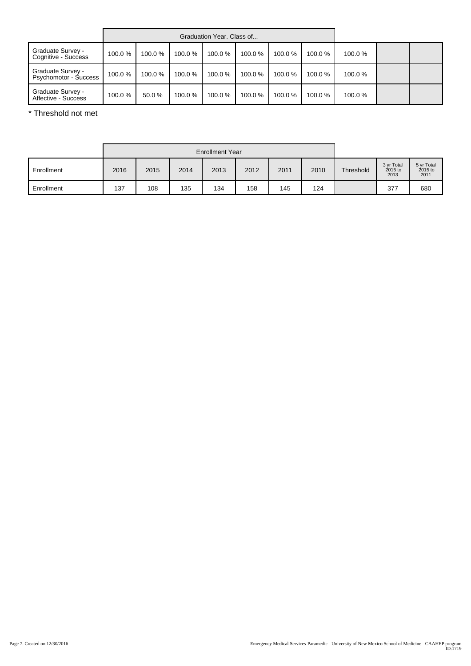|                                                   |        |        | Graduation Year, Class of |        |        |        |        |        |  |
|---------------------------------------------------|--------|--------|---------------------------|--------|--------|--------|--------|--------|--|
| Graduate Survey -<br>Cognitive - Success          | 100.0% | 100.0% | 100.0%                    | 100.0% | 100.0% | 100.0% | 100.0% | 100.0% |  |
| Graduate Survey -<br><b>Psychomotor - Success</b> | 100.0% | 100.0% | 100.0%                    | 100.0% | 100.0% | 100.0% | 100.0% | 100.0% |  |
| Graduate Survey -<br>Affective - Success          | 100.0% | 50.0 % | 100.0%                    | 100.0% | 100.0% | 100.0% | 100.0% | 100.0% |  |

\* Threshold not met

|            |      |      | <b>Enrollment Year</b> |      |      |      |      |           |                                 |                               |
|------------|------|------|------------------------|------|------|------|------|-----------|---------------------------------|-------------------------------|
| Enrollment | 2016 | 2015 | 2014                   | 2013 | 2012 | 2011 | 2010 | Threshold | 3 yr Total<br>$2015$ to<br>2013 | 5 yr Total<br>2015 to<br>2011 |
| Enrollment | 137  | 108  | 135                    | 134  | 158  | 145  | 124  |           | 377                             | 680                           |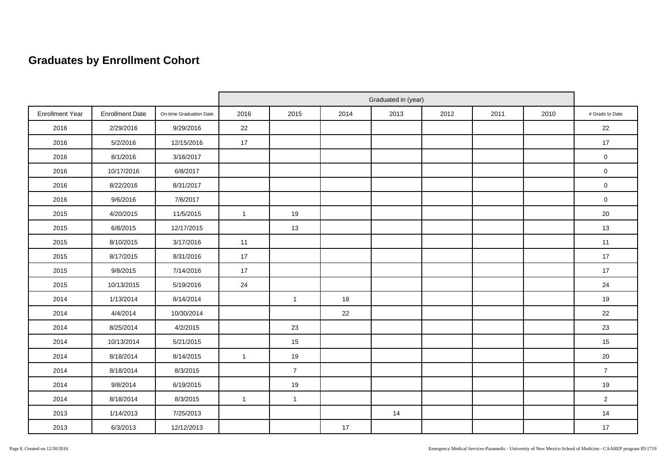# **Graduates by Enrollment Cohort**

|                        |                        |                         | Graduated in (year) |                |      |      |      |      |      |                     |
|------------------------|------------------------|-------------------------|---------------------|----------------|------|------|------|------|------|---------------------|
| <b>Enrollment Year</b> | <b>Enrollment Date</b> | On-time Graduation Date | 2016                | 2015           | 2014 | 2013 | 2012 | 2011 | 2010 | # Grads to Date     |
| 2016                   | 2/29/2016              | 9/29/2016               | 22                  |                |      |      |      |      |      | 22                  |
| 2016                   | 5/2/2016               | 12/15/2016              | 17                  |                |      |      |      |      |      | 17                  |
| 2016                   | 8/1/2016               | 3/16/2017               |                     |                |      |      |      |      |      | $\mathbf 0$         |
| 2016                   | 10/17/2016             | 6/8/2017                |                     |                |      |      |      |      |      | $\mathbf 0$         |
| 2016                   | 8/22/2016              | 8/31/2017               |                     |                |      |      |      |      |      | $\mathsf{O}\xspace$ |
| 2016                   | 9/6/2016               | 7/6/2017                |                     |                |      |      |      |      |      | $\mathbf 0$         |
| 2015                   | 4/20/2015              | 11/5/2015               | $\overline{1}$      | 19             |      |      |      |      |      | 20                  |
| 2015                   | 6/8/2015               | 12/17/2015              |                     | 13             |      |      |      |      |      | 13                  |
| 2015                   | 8/10/2015              | 3/17/2016               | 11                  |                |      |      |      |      |      | 11                  |
| 2015                   | 8/17/2015              | 8/31/2016               | 17                  |                |      |      |      |      |      | 17                  |
| 2015                   | 9/8/2015               | 7/14/2016               | 17                  |                |      |      |      |      |      | 17                  |
| 2015                   | 10/13/2015             | 5/19/2016               | 24                  |                |      |      |      |      |      | 24                  |
| 2014                   | 1/13/2014              | 8/14/2014               |                     | $\overline{1}$ | 18   |      |      |      |      | 19                  |
| 2014                   | 4/4/2014               | 10/30/2014              |                     |                | 22   |      |      |      |      | 22                  |
| 2014                   | 8/25/2014              | 4/2/2015                |                     | 23             |      |      |      |      |      | 23                  |
| 2014                   | 10/13/2014             | 5/21/2015               |                     | 15             |      |      |      |      |      | 15                  |
| 2014                   | 8/18/2014              | 8/14/2015               | $\overline{1}$      | 19             |      |      |      |      |      | 20                  |
| 2014                   | 8/18/2014              | 8/3/2015                |                     | $\overline{7}$ |      |      |      |      |      | $\overline{7}$      |
| 2014                   | 9/8/2014               | 6/19/2015               |                     | 19             |      |      |      |      |      | 19                  |
| 2014                   | 8/18/2014              | 8/3/2015                | $\mathbf{1}$        | $\overline{1}$ |      |      |      |      |      | $\overline{2}$      |
| 2013                   | 1/14/2013              | 7/25/2013               |                     |                |      | 14   |      |      |      | 14                  |
| 2013                   | 6/3/2013               | 12/12/2013              |                     |                | 17   |      |      |      |      | 17                  |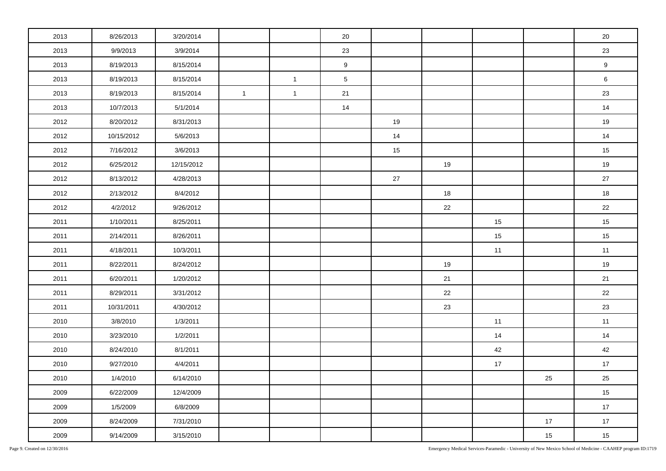| 2013 | 8/26/2013  | 3/20/2014  |                |              | 20              |    |    |    |      | 20               |
|------|------------|------------|----------------|--------------|-----------------|----|----|----|------|------------------|
| 2013 | 9/9/2013   | 3/9/2014   |                |              | 23              |    |    |    |      | 23               |
| 2013 | 8/19/2013  | 8/15/2014  |                |              | 9               |    |    |    |      | $\boldsymbol{9}$ |
| 2013 | 8/19/2013  | 8/15/2014  |                | $\mathbf{1}$ | $5\phantom{.0}$ |    |    |    |      | 6                |
| 2013 | 8/19/2013  | 8/15/2014  | $\overline{1}$ | $\mathbf{1}$ | 21              |    |    |    |      | 23               |
| 2013 | 10/7/2013  | 5/1/2014   |                |              | 14              |    |    |    |      | 14               |
| 2012 | 8/20/2012  | 8/31/2013  |                |              |                 | 19 |    |    |      | 19               |
| 2012 | 10/15/2012 | 5/6/2013   |                |              |                 | 14 |    |    |      | 14               |
| 2012 | 7/16/2012  | 3/6/2013   |                |              |                 | 15 |    |    |      | 15               |
| 2012 | 6/25/2012  | 12/15/2012 |                |              |                 |    | 19 |    |      | 19               |
| 2012 | 8/13/2012  | 4/28/2013  |                |              |                 | 27 |    |    |      | 27               |
| 2012 | 2/13/2012  | 8/4/2012   |                |              |                 |    | 18 |    |      | 18               |
| 2012 | 4/2/2012   | 9/26/2012  |                |              |                 |    | 22 |    |      | 22               |
| 2011 | 1/10/2011  | 8/25/2011  |                |              |                 |    |    | 15 |      | 15               |
| 2011 | 2/14/2011  | 8/26/2011  |                |              |                 |    |    | 15 |      | 15               |
| 2011 | 4/18/2011  | 10/3/2011  |                |              |                 |    |    | 11 |      | 11               |
| 2011 | 8/22/2011  | 8/24/2012  |                |              |                 |    | 19 |    |      | 19               |
| 2011 | 6/20/2011  | 1/20/2012  |                |              |                 |    | 21 |    |      | 21               |
| 2011 | 8/29/2011  | 3/31/2012  |                |              |                 |    | 22 |    |      | 22               |
| 2011 | 10/31/2011 | 4/30/2012  |                |              |                 |    | 23 |    |      | 23               |
| 2010 | 3/8/2010   | 1/3/2011   |                |              |                 |    |    | 11 |      | 11               |
| 2010 | 3/23/2010  | 1/2/2011   |                |              |                 |    |    | 14 |      | 14               |
| 2010 | 8/24/2010  | 8/1/2011   |                |              |                 |    |    | 42 |      | 42               |
| 2010 | 9/27/2010  | 4/4/2011   |                |              |                 |    |    | 17 |      | 17               |
| 2010 | 1/4/2010   | 6/14/2010  |                |              |                 |    |    |    | 25   | 25               |
| 2009 | 6/22/2009  | 12/4/2009  |                |              |                 |    |    |    |      | 15               |
| 2009 | 1/5/2009   | 6/8/2009   |                |              |                 |    |    |    |      | $17$             |
| 2009 | 8/24/2009  | 7/31/2010  |                |              |                 |    |    |    | $17$ | 17               |
| 2009 | 9/14/2009  | 3/15/2010  |                |              |                 |    |    |    | 15   | 15               |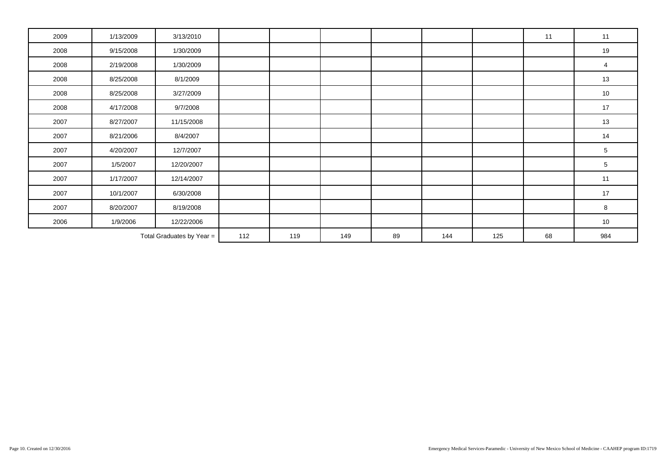| 2009                      | 1/13/2009 | 3/13/2010  |     |     |     |    |     |     | 11 | 11             |
|---------------------------|-----------|------------|-----|-----|-----|----|-----|-----|----|----------------|
| 2008                      | 9/15/2008 | 1/30/2009  |     |     |     |    |     |     |    | 19             |
| 2008                      | 2/19/2008 | 1/30/2009  |     |     |     |    |     |     |    | $\overline{4}$ |
| 2008                      | 8/25/2008 | 8/1/2009   |     |     |     |    |     |     |    | 13             |
| 2008                      | 8/25/2008 | 3/27/2009  |     |     |     |    |     |     |    | $10$           |
| 2008                      | 4/17/2008 | 9/7/2008   |     |     |     |    |     |     |    | 17             |
| 2007                      | 8/27/2007 | 11/15/2008 |     |     |     |    |     |     |    | $13$           |
| 2007                      | 8/21/2006 | 8/4/2007   |     |     |     |    |     |     |    | 14             |
| 2007                      | 4/20/2007 | 12/7/2007  |     |     |     |    |     |     |    | $\sqrt{5}$     |
| 2007                      | 1/5/2007  | 12/20/2007 |     |     |     |    |     |     |    | $\sqrt{5}$     |
| 2007                      | 1/17/2007 | 12/14/2007 |     |     |     |    |     |     |    | 11             |
| 2007                      | 10/1/2007 | 6/30/2008  |     |     |     |    |     |     |    | 17             |
| 2007                      | 8/20/2007 | 8/19/2008  |     |     |     |    |     |     |    | 8              |
| 2006                      | 1/9/2006  | 12/22/2006 |     |     |     |    |     |     |    | 10             |
| Total Graduates by Year = |           |            | 112 | 119 | 149 | 89 | 144 | 125 | 68 | 984            |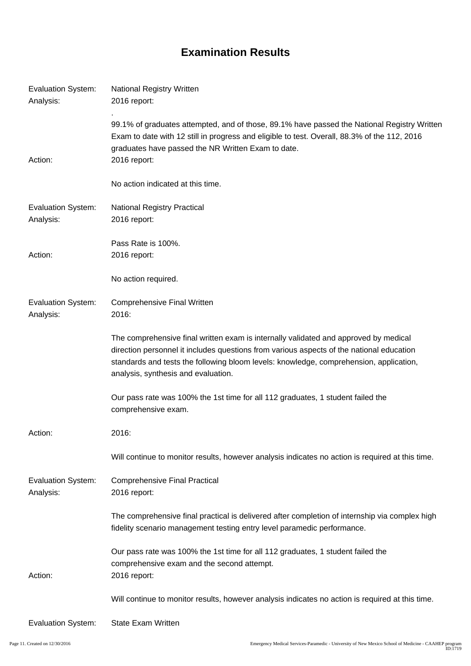# **Examination Results**

| <b>Evaluation System:</b><br>Analysis: | <b>National Registry Written</b><br>2016 report:                                                                                                                                                                                                                                                                  |
|----------------------------------------|-------------------------------------------------------------------------------------------------------------------------------------------------------------------------------------------------------------------------------------------------------------------------------------------------------------------|
| Action:                                | 99.1% of graduates attempted, and of those, 89.1% have passed the National Registry Written<br>Exam to date with 12 still in progress and eligible to test. Overall, 88.3% of the 112, 2016<br>graduates have passed the NR Written Exam to date.<br>2016 report:                                                 |
|                                        | No action indicated at this time.                                                                                                                                                                                                                                                                                 |
| <b>Evaluation System:</b><br>Analysis: | <b>National Registry Practical</b><br>2016 report:                                                                                                                                                                                                                                                                |
| Action:                                | Pass Rate is 100%.<br>2016 report:                                                                                                                                                                                                                                                                                |
|                                        | No action required.                                                                                                                                                                                                                                                                                               |
| <b>Evaluation System:</b><br>Analysis: | <b>Comprehensive Final Written</b><br>2016:                                                                                                                                                                                                                                                                       |
|                                        | The comprehensive final written exam is internally validated and approved by medical<br>direction personnel it includes questions from various aspects of the national education<br>standards and tests the following bloom levels: knowledge, comprehension, application,<br>analysis, synthesis and evaluation. |
|                                        | Our pass rate was 100% the 1st time for all 112 graduates, 1 student failed the<br>comprehensive exam.                                                                                                                                                                                                            |
| Action:                                | 2016:                                                                                                                                                                                                                                                                                                             |
|                                        | Will continue to monitor results, however analysis indicates no action is required at this time.                                                                                                                                                                                                                  |
| <b>Evaluation System:</b><br>Analysis: | <b>Comprehensive Final Practical</b><br>2016 report:                                                                                                                                                                                                                                                              |
|                                        | The comprehensive final practical is delivered after completion of internship via complex high<br>fidelity scenario management testing entry level paramedic performance.                                                                                                                                         |
| Action:                                | Our pass rate was 100% the 1st time for all 112 graduates, 1 student failed the<br>comprehensive exam and the second attempt.<br>2016 report:                                                                                                                                                                     |
|                                        | Will continue to monitor results, however analysis indicates no action is required at this time.                                                                                                                                                                                                                  |
| <b>Evaluation System:</b>              | State Exam Written                                                                                                                                                                                                                                                                                                |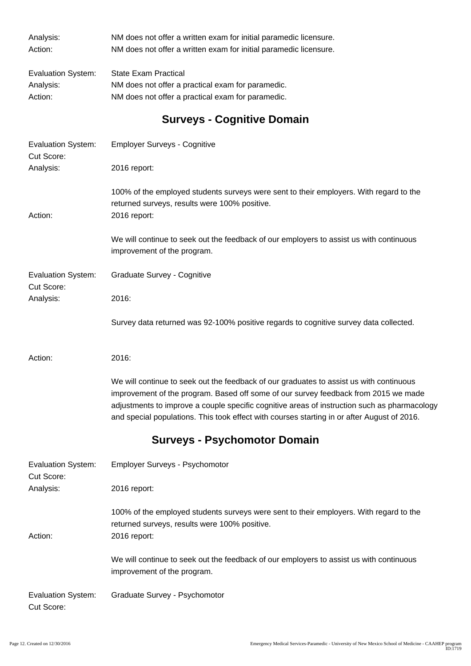| Analysis:                               | NM does not offer a written exam for initial paramedic licensure.                                                                                                                                                                                                                                                                                                             |
|-----------------------------------------|-------------------------------------------------------------------------------------------------------------------------------------------------------------------------------------------------------------------------------------------------------------------------------------------------------------------------------------------------------------------------------|
| Action:                                 | NM does not offer a written exam for initial paramedic licensure.                                                                                                                                                                                                                                                                                                             |
| <b>Evaluation System:</b>               | <b>State Exam Practical</b>                                                                                                                                                                                                                                                                                                                                                   |
| Analysis:                               | NM does not offer a practical exam for paramedic.                                                                                                                                                                                                                                                                                                                             |
| Action:                                 | NM does not offer a practical exam for paramedic.                                                                                                                                                                                                                                                                                                                             |
|                                         | <b>Surveys - Cognitive Domain</b>                                                                                                                                                                                                                                                                                                                                             |
| Evaluation System:<br>Cut Score:        | <b>Employer Surveys - Cognitive</b>                                                                                                                                                                                                                                                                                                                                           |
| Analysis:                               | 2016 report:                                                                                                                                                                                                                                                                                                                                                                  |
| Action:                                 | 100% of the employed students surveys were sent to their employers. With regard to the<br>returned surveys, results were 100% positive.<br>2016 report:                                                                                                                                                                                                                       |
|                                         | We will continue to seek out the feedback of our employers to assist us with continuous<br>improvement of the program.                                                                                                                                                                                                                                                        |
| <b>Evaluation System:</b>               | Graduate Survey - Cognitive                                                                                                                                                                                                                                                                                                                                                   |
| Cut Score:<br>Analysis:                 | 2016:                                                                                                                                                                                                                                                                                                                                                                         |
|                                         | Survey data returned was 92-100% positive regards to cognitive survey data collected.                                                                                                                                                                                                                                                                                         |
| Action:                                 | 2016:                                                                                                                                                                                                                                                                                                                                                                         |
|                                         | We will continue to seek out the feedback of our graduates to assist us with continuous<br>improvement of the program. Based off some of our survey feedback from 2015 we made<br>adjustments to improve a couple specific cognitive areas of instruction such as pharmacology<br>and special populations. This took effect with courses starting in or after August of 2016. |
|                                         | <b>Surveys - Psychomotor Domain</b>                                                                                                                                                                                                                                                                                                                                           |
| <b>Evaluation System:</b><br>Cut Score: | <b>Employer Surveys - Psychomotor</b>                                                                                                                                                                                                                                                                                                                                         |
| Analysis:                               | 2016 report:                                                                                                                                                                                                                                                                                                                                                                  |
| Action:                                 | 100% of the employed students surveys were sent to their employers. With regard to the<br>returned surveys, results were 100% positive.<br>2016 report:                                                                                                                                                                                                                       |
|                                         | We will continue to seek out the feedback of our employers to assist us with continuous<br>improvement of the program.                                                                                                                                                                                                                                                        |
| <b>Evaluation System:</b><br>Cut Score: | Graduate Survey - Psychomotor                                                                                                                                                                                                                                                                                                                                                 |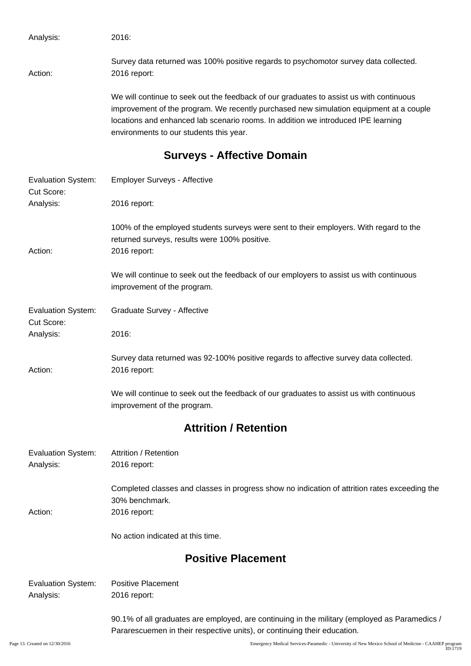Analysis: 2016: Survey data returned was 100% positive regards to psychomotor survey data collected. Action: 2016 report: We will continue to seek out the feedback of our graduates to assist us with continuous improvement of the program. We recently purchased new simulation equipment at a couple

locations and enhanced lab scenario rooms. In addition we introduced IPE learning environments to our students this year.

### **Surveys - Affective Domain**

| <b>Evaluation System:</b><br>Cut Score: | <b>Employer Surveys - Affective</b>                                                                                                                     |
|-----------------------------------------|---------------------------------------------------------------------------------------------------------------------------------------------------------|
| Analysis:                               | 2016 report:                                                                                                                                            |
| Action:                                 | 100% of the employed students surveys were sent to their employers. With regard to the<br>returned surveys, results were 100% positive.<br>2016 report: |
|                                         | We will continue to seek out the feedback of our employers to assist us with continuous<br>improvement of the program.                                  |
| <b>Evaluation System:</b><br>Cut Score: | Graduate Survey - Affective                                                                                                                             |
| Analysis:                               | 2016:                                                                                                                                                   |
| Action:                                 | Survey data returned was 92-100% positive regards to affective survey data collected.<br>2016 report:                                                   |
|                                         | We will continue to seek out the feedback of our graduates to assist us with continuous<br>improvement of the program.                                  |
|                                         | <b>Attrition / Retention</b>                                                                                                                            |
| <b>Evaluation System:</b><br>Analysis:  | Attrition / Retention<br>2016 report:                                                                                                                   |
| Action:                                 | Completed classes and classes in progress show no indication of attrition rates exceeding the<br>30% benchmark.<br>2016 report:                         |
|                                         | No action indicated at this time.                                                                                                                       |
|                                         | <b>Positive Placement</b>                                                                                                                               |
| <b>Evaluation System:</b><br>Analysis:  | <b>Positive Placement</b><br>2016 report:                                                                                                               |
|                                         | 90.1% of all graduates are employed, are continuing in the military (employed as Paramedics /                                                           |

Pararescuemen in their respective units), or continuing their education.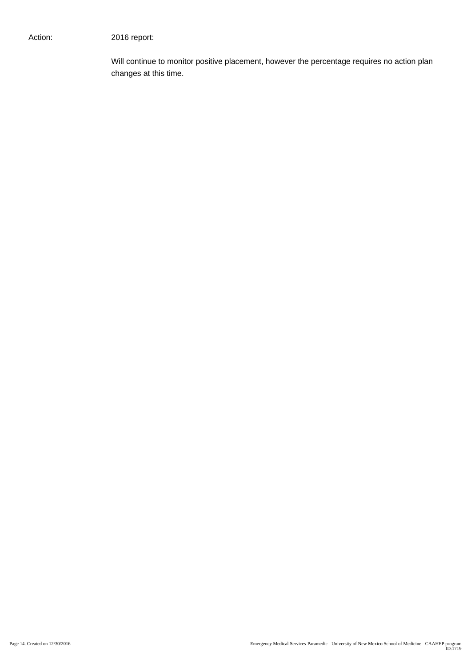Will continue to monitor positive placement, however the percentage requires no action plan changes at this time.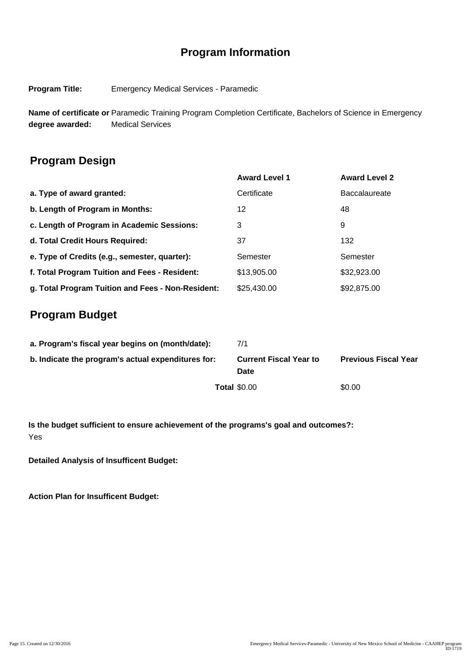# **Program Information**

**Program Title:** Emergency Medical Services - Paramedic

**Name of certificate or** Paramedic Training Program Completion Certificate, Bachelors of Science in Emergency **degree awarded:** Medical Services

### **Program Design**

|                                                   | <b>Award Level 1</b> | <b>Award Level 2</b> |
|---------------------------------------------------|----------------------|----------------------|
| a. Type of award granted:                         | Certificate          | <b>Baccalaureate</b> |
| b. Length of Program in Months:                   | 12                   | 48                   |
| c. Length of Program in Academic Sessions:        | 3                    | 9                    |
| d. Total Credit Hours Required:                   | 37                   | 132                  |
| e. Type of Credits (e.g., semester, quarter):     | Semester             | Semester             |
| f. Total Program Tuition and Fees - Resident:     | \$13,905.00          | \$32,923.00          |
| g. Total Program Tuition and Fees - Non-Resident: | \$25,430.00          | \$92,875.00          |

### **Program Budget**

| a. Program's fiscal year begins on (month/date):   | 7/1                                   |                             |
|----------------------------------------------------|---------------------------------------|-----------------------------|
| b. Indicate the program's actual expenditures for: | <b>Current Fiscal Year to</b><br>Date | <b>Previous Fiscal Year</b> |
|                                                    | <b>Total \$0.00</b>                   | \$0.00                      |

**Is the budget sufficient to ensure achievement of the programs's goal and outcomes?:** Yes

**Detailed Analysis of Insufficent Budget:**

**Action Plan for Insufficent Budget:**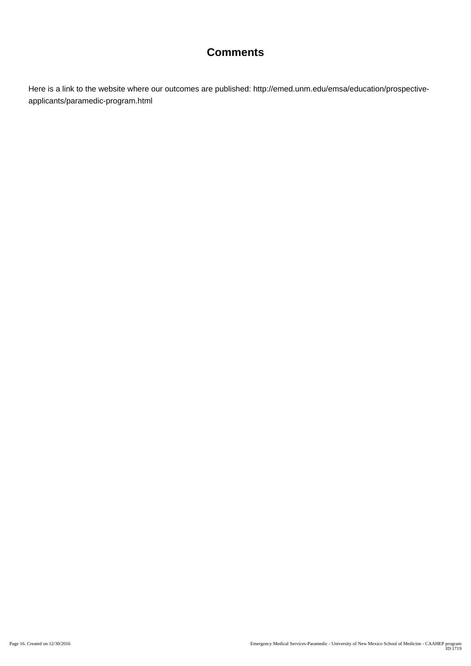## **Comments**

Here is a link to the website where our outcomes are published: http://emed.unm.edu/emsa/education/prospectiveapplicants/paramedic-program.html